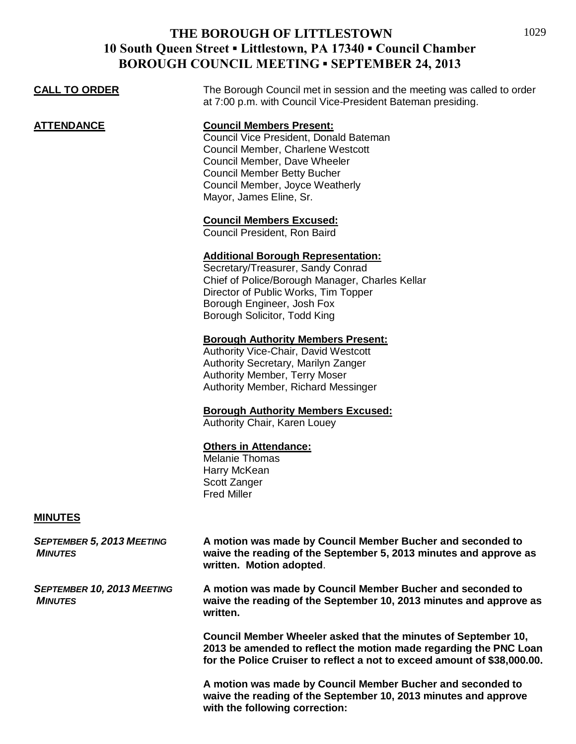## **THE BOROUGH OF LITTLESTOWN 10 South Queen Street ▪ Littlestown, PA 17340 ▪ Council Chamber BOROUGH COUNCIL MEETING ▪ SEPTEMBER 24, 2013**

| BOROUGH COUNCIL MEETING • SEPTEMBER 24, 2013 |                                                                                                                                                                                                                                                    |  |
|----------------------------------------------|----------------------------------------------------------------------------------------------------------------------------------------------------------------------------------------------------------------------------------------------------|--|
| <b>CALL TO ORDER</b>                         | The Borough Council met in session and the meeting was called to order<br>at 7:00 p.m. with Council Vice-President Bateman presiding.                                                                                                              |  |
| <b>ATTENDANCE</b>                            | <b>Council Members Present:</b><br>Council Vice President, Donald Bateman<br>Council Member, Charlene Westcott<br>Council Member, Dave Wheeler<br><b>Council Member Betty Bucher</b><br>Council Member, Joyce Weatherly<br>Mayor, James Eline, Sr. |  |
|                                              | <b>Council Members Excused:</b><br>Council President, Ron Baird                                                                                                                                                                                    |  |
|                                              | <b>Additional Borough Representation:</b><br>Secretary/Treasurer, Sandy Conrad<br>Chief of Police/Borough Manager, Charles Kellar<br>Director of Public Works, Tim Topper<br>Borough Engineer, Josh Fox<br>Borough Solicitor, Todd King            |  |
|                                              | <b>Borough Authority Members Present:</b><br>Authority Vice-Chair, David Westcott<br>Authority Secretary, Marilyn Zanger<br><b>Authority Member, Terry Moser</b><br><b>Authority Member, Richard Messinger</b>                                     |  |
|                                              | <b>Borough Authority Members Excused:</b><br>Authority Chair, Karen Louey                                                                                                                                                                          |  |
|                                              | <b>Others in Attendance:</b><br><b>Melanie Thomas</b><br>Harry McKean<br>Scott Zanger<br><b>Fred Miller</b>                                                                                                                                        |  |
| <b>MINUTES</b>                               |                                                                                                                                                                                                                                                    |  |

| <b>SEPTEMBER 5, 2013 MEETING</b><br><b>MINUTES</b>  | A motion was made by Council Member Bucher and seconded to<br>waive the reading of the September 5, 2013 minutes and approve as<br>written. Motion adopted.                                                     |
|-----------------------------------------------------|-----------------------------------------------------------------------------------------------------------------------------------------------------------------------------------------------------------------|
| <b>SEPTEMBER 10, 2013 MEETING</b><br><b>MINUTES</b> | A motion was made by Council Member Bucher and seconded to<br>waive the reading of the September 10, 2013 minutes and approve as<br>written.                                                                    |
|                                                     | Council Member Wheeler asked that the minutes of September 10,<br>2013 be amended to reflect the motion made regarding the PNC Loan<br>for the Police Cruiser to reflect a not to exceed amount of \$38,000.00. |
|                                                     | A motion was made by Council Member Bucher and seconded to<br>waive the reading of the September 10, 2013 minutes and approve                                                                                   |

**with the following correction:**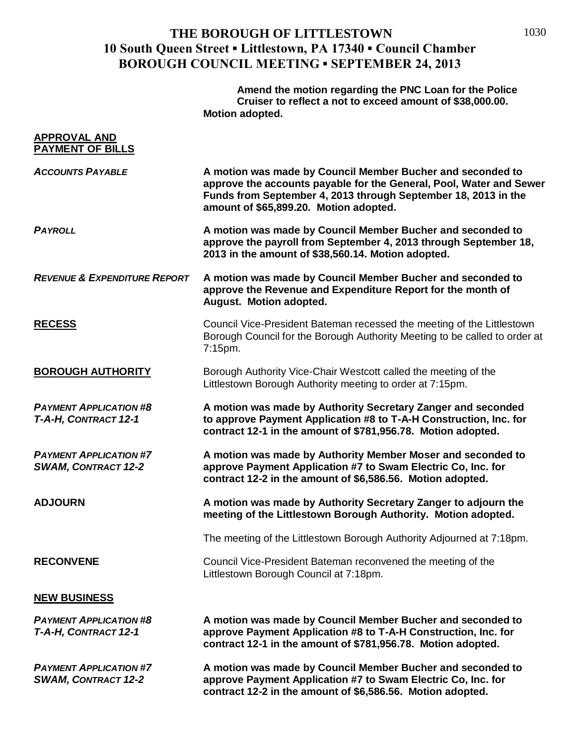## **THE BOROUGH OF LITTLESTOWN 10 South Queen Street ▪ Littlestown, PA 17340 ▪ Council Chamber BOROUGH COUNCIL MEETING ▪ SEPTEMBER 24, 2013**

**Amend the motion regarding the PNC Loan for the Police Cruiser to reflect a not to exceed amount of \$38,000.00. Motion adopted.**

| <b>APPROVAL AND</b><br>PAYMENT OF BILLS                     |                                                                                                                                                                                                                                               |
|-------------------------------------------------------------|-----------------------------------------------------------------------------------------------------------------------------------------------------------------------------------------------------------------------------------------------|
| <b>ACCOUNTS PAYABLE</b>                                     | A motion was made by Council Member Bucher and seconded to<br>approve the accounts payable for the General, Pool, Water and Sewer<br>Funds from September 4, 2013 through September 18, 2013 in the<br>amount of \$65,899.20. Motion adopted. |
| <b>PAYROLL</b>                                              | A motion was made by Council Member Bucher and seconded to<br>approve the payroll from September 4, 2013 through September 18,<br>2013 in the amount of \$38,560.14. Motion adopted.                                                          |
| <b>REVENUE &amp; EXPENDITURE REPORT</b>                     | A motion was made by Council Member Bucher and seconded to<br>approve the Revenue and Expenditure Report for the month of<br>August. Motion adopted.                                                                                          |
| <b>RECESS</b>                                               | Council Vice-President Bateman recessed the meeting of the Littlestown<br>Borough Council for the Borough Authority Meeting to be called to order at<br>7:15pm.                                                                               |
| <b>BOROUGH AUTHORITY</b>                                    | Borough Authority Vice-Chair Westcott called the meeting of the<br>Littlestown Borough Authority meeting to order at 7:15pm.                                                                                                                  |
| <b>PAYMENT APPLICATION #8</b><br>T-A-H, CONTRACT 12-1       | A motion was made by Authority Secretary Zanger and seconded<br>to approve Payment Application #8 to T-A-H Construction, Inc. for<br>contract 12-1 in the amount of \$781,956.78. Motion adopted.                                             |
| <b>PAYMENT APPLICATION #7</b><br><b>SWAM, CONTRACT 12-2</b> | A motion was made by Authority Member Moser and seconded to<br>approve Payment Application #7 to Swam Electric Co, Inc. for<br>contract 12-2 in the amount of \$6,586.56. Motion adopted.                                                     |
| <b>ADJOURN</b>                                              | A motion was made by Authority Secretary Zanger to adjourn the<br>meeting of the Littlestown Borough Authority. Motion adopted.                                                                                                               |
|                                                             | The meeting of the Littlestown Borough Authority Adjourned at 7:18pm.                                                                                                                                                                         |
| <b>RECONVENE</b>                                            | Council Vice-President Bateman reconvened the meeting of the<br>Littlestown Borough Council at 7:18pm.                                                                                                                                        |
| <b>NEW BUSINESS</b>                                         |                                                                                                                                                                                                                                               |
| <b>PAYMENT APPLICATION #8</b><br>T-A-H, CONTRACT 12-1       | A motion was made by Council Member Bucher and seconded to<br>approve Payment Application #8 to T-A-H Construction, Inc. for<br>contract 12-1 in the amount of \$781,956.78. Motion adopted.                                                  |
| <b>PAYMENT APPLICATION #7</b><br><b>SWAM, CONTRACT 12-2</b> | A motion was made by Council Member Bucher and seconded to<br>approve Payment Application #7 to Swam Electric Co, Inc. for<br>contract 12-2 in the amount of \$6,586.56. Motion adopted.                                                      |